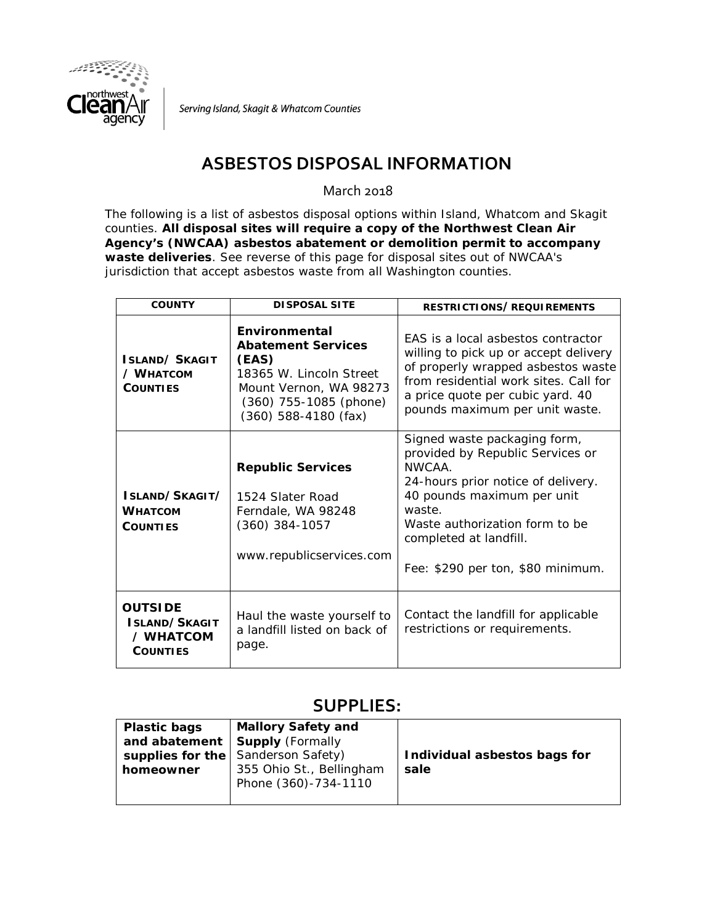

Serving Island, Skagit & Whatcom Counties

# **ASBESTOS DISPOSAL INFORMATION**

March 2018

The following is a list of asbestos disposal options within Island, Whatcom and Skagit counties. **All disposal sites will require a copy of the Northwest Clean Air Agency's (NWCAA) asbestos abatement or demolition permit to accompany waste deliveries**. See reverse of this page for disposal sites out of NWCAA's jurisdiction that accept asbestos waste from all Washington counties.

| <b>COUNTY</b>                                                          | <b>DISPOSAL SITE</b>                                                                                                                                         | RESTRICTIONS/REQUIREMENTS                                                                                                                                                                                                                                 |
|------------------------------------------------------------------------|--------------------------------------------------------------------------------------------------------------------------------------------------------------|-----------------------------------------------------------------------------------------------------------------------------------------------------------------------------------------------------------------------------------------------------------|
| <b>ISLAND/SKAGIT</b><br>$\angle$ WHATCOM<br><b>COUNTIES</b>            | Environmental<br><b>Abatement Services</b><br>(EAS)<br>18365 W. Lincoln Street<br>Mount Vernon, WA 98273<br>(360) 755-1085 (phone)<br>$(360)$ 588-4180 (fax) | <b>FAS</b> is a local asbestos contractor<br>willing to pick up or accept delivery<br>of properly wrapped asbestos waste<br>from residential work sites. Call for<br>a price quote per cubic yard. 40<br>pounds maximum per unit waste.                   |
| ISLAND/SKAGIT/<br><b>WHATCOM</b><br><b>COUNTIES</b>                    | <b>Republic Services</b><br>1524 Slater Road<br>Ferndale, WA 98248<br>$(360)$ 384-1057<br>www.republicservices.com                                           | Signed waste packaging form,<br>provided by Republic Services or<br>NWCAA.<br>24-hours prior notice of delivery.<br>40 pounds maximum per unit<br>waste.<br>Waste authorization form to be<br>completed at landfill.<br>Fee: \$290 per ton, \$80 minimum. |
| <b>OUTSIDE</b><br><b>ISLAND/SKAGIT</b><br>/ WHATCOM<br><b>COUNTIES</b> | Haul the waste yourself to<br>a landfill listed on back of<br>page.                                                                                          | Contact the landfill for applicable<br>restrictions or requirements.                                                                                                                                                                                      |

## **SUPPLIES:**

| <b>Plastic bags</b> | <b>Mallory Safety and</b>          |                              |
|---------------------|------------------------------------|------------------------------|
|                     | and abatement   Supply (Formally   |                              |
|                     | supplies for the Sanderson Safety) | Individual asbestos bags for |
| homeowner           | 355 Ohio St., Bellingham           | sale                         |
|                     | Phone (360)-734-1110               |                              |
|                     |                                    |                              |